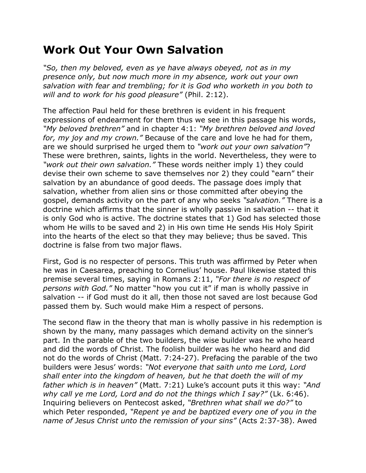## **Work Out Your Own Salvation**

*"So, then my beloved, even as ye have always obeyed, not as in my presence only, but now much more in my absence, work out your own salvation with fear and trembling; for it is God who worketh in you both to will and to work for his good pleasure"* (Phil. 2:12).

The affection Paul held for these brethren is evident in his frequent expressions of endearment for them thus we see in this passage his words, *"My beloved brethren"* and in chapter 4:1: *"My brethren beloved and loved for, my joy and my crown."* Because of the care and love he had for them, are we should surprised he urged them to *"work out your own salvation"*? These were brethren, saints, lights in the world. Nevertheless, they were to *"work out their own salvation."* These words neither imply 1) they could devise their own scheme to save themselves nor 2) they could "earn" their salvation by an abundance of good deeds. The passage does imply that salvation, whether from alien sins or those committed after obeying the gospel, demands activity on the part of any who seeks *"salvation."* There is a doctrine which affirms that the sinner is wholly passive in salvation -- that it is only God who is active. The doctrine states that 1) God has selected those whom He wills to be saved and 2) in His own time He sends His Holy Spirit into the hearts of the elect so that they may believe; thus be saved. This doctrine is false from two major flaws.

First, God is no respecter of persons. This truth was affirmed by Peter when he was in Caesarea, preaching to Cornelius' house. Paul likewise stated this premise several times, saying in Romans 2:11, *"For there is no respect of persons with God."* No matter "how you cut it" if man is wholly passive in salvation -- if God must do it all, then those not saved are lost because God passed them by. Such would make Him a respect of persons.

The second flaw in the theory that man is wholly passive in his redemption is shown by the many, many passages which demand activity on the sinner's part. In the parable of the two builders, the wise builder was he who heard and did the words of Christ. The foolish builder was he who heard and did not do the words of Christ (Matt. 7:24-27). Prefacing the parable of the two builders were Jesus' words: *"Not everyone that saith unto me Lord, Lord shall enter into the kingdom of heaven, but he that doeth the will of my father which is in heaven"* (Matt. 7:21) Luke's account puts it this way: *"And why call ye me Lord, Lord and do not the things which I say?"* (Lk. 6:46). Inquiring believers on Pentecost asked, *"Brethren what shall we do?"* to which Peter responded, *"Repent ye and be baptized every one of you in the name of Jesus Christ unto the remission of your sins"* (Acts 2:37-38). Awed